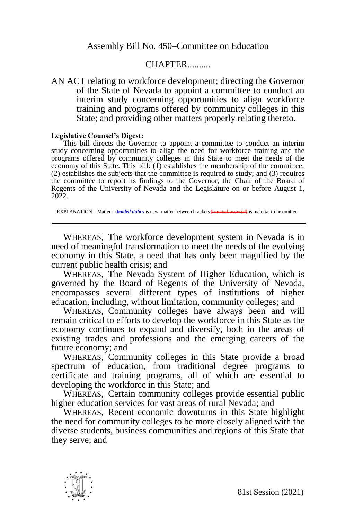## CHAPTER..........

AN ACT relating to workforce development; directing the Governor of the State of Nevada to appoint a committee to conduct an interim study concerning opportunities to align workforce training and programs offered by community colleges in this State; and providing other matters properly relating thereto.

## **Legislative Counsel's Digest:**

This bill directs the Governor to appoint a committee to conduct an interim study concerning opportunities to align the need for workforce training and the programs offered by community colleges in this State to meet the needs of the economy of this State. This bill: (1) establishes the membership of the committee; (2) establishes the subjects that the committee is required to study; and (3) requires the committee to report its findings to the Governor, the Chair of the Board of Regents of the University of Nevada and the Legislature on or before August 1, 2022.

EXPLANATION – Matter in *bolded italics* is new; matter between brackets *fomitted materiall* is material to be omitted.

WHEREAS, The workforce development system in Nevada is in need of meaningful transformation to meet the needs of the evolving economy in this State, a need that has only been magnified by the current public health crisis; and

WHEREAS, The Nevada System of Higher Education, which is governed by the Board of Regents of the University of Nevada, encompasses several different types of institutions of higher education, including, without limitation, community colleges; and

WHEREAS, Community colleges have always been and will remain critical to efforts to develop the workforce in this State as the economy continues to expand and diversify, both in the areas of existing trades and professions and the emerging careers of the future economy; and

WHEREAS, Community colleges in this State provide a broad spectrum of education, from traditional degree programs to certificate and training programs, all of which are essential to developing the workforce in this State; and

WHEREAS, Certain community colleges provide essential public higher education services for vast areas of rural Nevada; and

WHEREAS, Recent economic downturns in this State highlight the need for community colleges to be more closely aligned with the diverse students, business communities and regions of this State that they serve; and

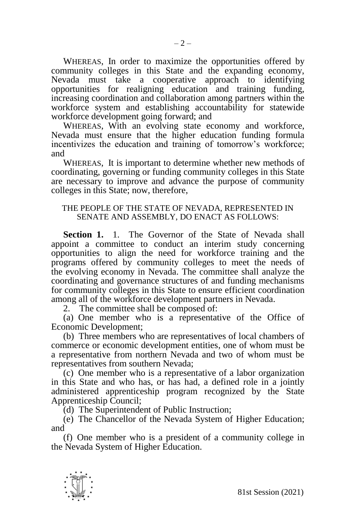WHEREAS, In order to maximize the opportunities offered by community colleges in this State and the expanding economy, Nevada must take a cooperative approach to identifying opportunities for realigning education and training funding, increasing coordination and collaboration among partners within the workforce system and establishing accountability for statewide workforce development going forward; and

WHEREAS, With an evolving state economy and workforce, Nevada must ensure that the higher education funding formula incentivizes the education and training of tomorrow's workforce; and

WHEREAS, It is important to determine whether new methods of coordinating, governing or funding community colleges in this State are necessary to improve and advance the purpose of community colleges in this State; now, therefore,

## THE PEOPLE OF THE STATE OF NEVADA, REPRESENTED IN SENATE AND ASSEMBLY, DO ENACT AS FOLLOWS:

**Section 1.** 1. The Governor of the State of Nevada shall appoint a committee to conduct an interim study concerning opportunities to align the need for workforce training and the programs offered by community colleges to meet the needs of the evolving economy in Nevada. The committee shall analyze the coordinating and governance structures of and funding mechanisms for community colleges in this State to ensure efficient coordination among all of the workforce development partners in Nevada.

2. The committee shall be composed of:

(a) One member who is a representative of the Office of Economic Development;

(b) Three members who are representatives of local chambers of commerce or economic development entities, one of whom must be a representative from northern Nevada and two of whom must be representatives from southern Nevada;

(c) One member who is a representative of a labor organization in this State and who has, or has had, a defined role in a jointly administered apprenticeship program recognized by the State Apprenticeship Council;

(d) The Superintendent of Public Instruction;

(e) The Chancellor of the Nevada System of Higher Education; and

(f) One member who is a president of a community college in the Nevada System of Higher Education.

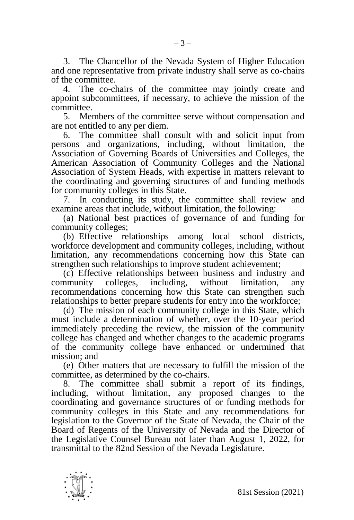3. The Chancellor of the Nevada System of Higher Education and one representative from private industry shall serve as co-chairs of the committee.

4. The co-chairs of the committee may jointly create and appoint subcommittees, if necessary, to achieve the mission of the committee.

5. Members of the committee serve without compensation and are not entitled to any per diem.

6. The committee shall consult with and solicit input from persons and organizations, including, without limitation, the Association of Governing Boards of Universities and Colleges, the American Association of Community Colleges and the National Association of System Heads, with expertise in matters relevant to the coordinating and governing structures of and funding methods for community colleges in this State.

7. In conducting its study, the committee shall review and examine areas that include, without limitation, the following:

(a) National best practices of governance of and funding for community colleges;

(b) Effective relationships among local school districts, workforce development and community colleges, including, without limitation, any recommendations concerning how this State can strengthen such relationships to improve student achievement;

(c) Effective relationships between business and industry and community colleges, including, without limitation, any recommendations concerning how this State can strengthen such relationships to better prepare students for entry into the workforce;

(d) The mission of each community college in this State, which must include a determination of whether, over the 10-year period immediately preceding the review, the mission of the community college has changed and whether changes to the academic programs of the community college have enhanced or undermined that mission; and

(e) Other matters that are necessary to fulfill the mission of the committee, as determined by the co-chairs.

8. The committee shall submit a report of its findings, including, without limitation, any proposed changes to the coordinating and governance structures of or funding methods for community colleges in this State and any recommendations for legislation to the Governor of the State of Nevada, the Chair of the Board of Regents of the University of Nevada and the Director of the Legislative Counsel Bureau not later than August 1, 2022, for transmittal to the 82nd Session of the Nevada Legislature.